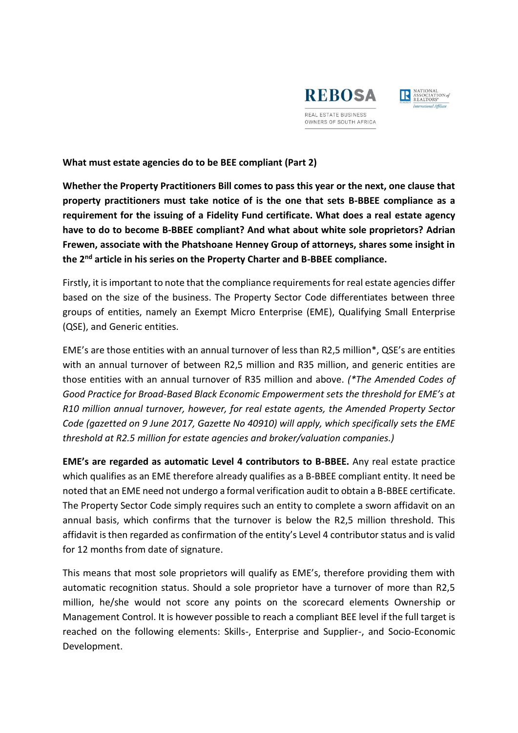



**What must estate agencies do to be BEE compliant (Part 2)**

**Whether the Property Practitioners Bill comes to pass this year or the next, one clause that property practitioners must take notice of is the one that sets B-BBEE compliance as a requirement for the issuing of a Fidelity Fund certificate. What does a real estate agency have to do to become B-BBEE compliant? And what about white sole proprietors? Adrian Frewen, associate with the Phatshoane Henney Group of attorneys, shares some insight in the 2nd article in his series on the Property Charter and B-BBEE compliance.** 

Firstly, it is important to note that the compliance requirements for real estate agencies differ based on the size of the business. The Property Sector Code differentiates between three groups of entities, namely an Exempt Micro Enterprise (EME), Qualifying Small Enterprise (QSE), and Generic entities.

EME's are those entities with an annual turnover of less than R2,5 million\*, QSE's are entities with an annual turnover of between R2,5 million and R35 million, and generic entities are those entities with an annual turnover of R35 million and above. *(\*The Amended Codes of Good Practice for Broad-Based Black Economic Empowerment sets the threshold for EME's at R10 million annual turnover, however, for real estate agents, the Amended Property Sector Code (gazetted on 9 June 2017, Gazette No 40910) will apply, which specifically sets the EME threshold at R2.5 million for estate agencies and broker/valuation companies.)*

**EME's are regarded as automatic Level 4 contributors to B-BBEE.** Any real estate practice which qualifies as an EME therefore already qualifies as a B-BBEE compliant entity. It need be noted that an EME need not undergo a formal verification audit to obtain a B-BBEE certificate. The Property Sector Code simply requires such an entity to complete a sworn affidavit on an annual basis, which confirms that the turnover is below the R2,5 million threshold. This affidavit is then regarded as confirmation of the entity's Level 4 contributor status and is valid for 12 months from date of signature.

This means that most sole proprietors will qualify as EME's, therefore providing them with automatic recognition status. Should a sole proprietor have a turnover of more than R2,5 million, he/she would not score any points on the scorecard elements Ownership or Management Control. It is however possible to reach a compliant BEE level if the full target is reached on the following elements: Skills-, Enterprise and Supplier-, and Socio-Economic Development.